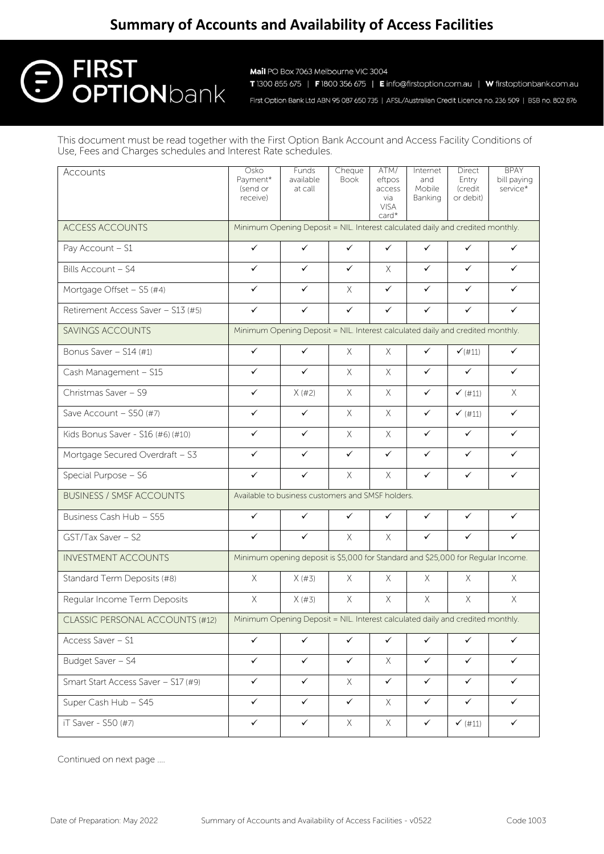## **Summary of Accounts and Availability of Access Facilities**

# **FIRST OPTION**bank

Mail PO Box 7063 Melbourne VIC 3004 T 1300 855 675 | F 1800 356 675 | E info@firstoption.com.au | W firstoptionbank.com.au

First Option Bank Ltd ABN 95 087 650 735 | AFSL/Australian Credit Licence no. 236 509 | BSB no. 802 876

This document must be read together with the First Option Bank Account and Access Facility Conditions of Use, Fees and Charges schedules and Interest Rate schedules.

| Accounts                               | Osko<br>Payment*<br>(send or<br>receive)                                         | Funds<br>available<br>at call | Cheque<br>Book | ATM/<br>eftpos<br>access<br>via<br><b>VISA</b><br>card* | Internet<br>and<br>Mobile<br>Banking | Direct<br>Entry<br>(credit<br>or debit) | <b>BPAY</b><br>bill paying<br>service* |
|----------------------------------------|----------------------------------------------------------------------------------|-------------------------------|----------------|---------------------------------------------------------|--------------------------------------|-----------------------------------------|----------------------------------------|
| <b>ACCESS ACCOUNTS</b>                 | Minimum Opening Deposit = NIL. Interest calculated daily and credited monthly.   |                               |                |                                                         |                                      |                                         |                                        |
| Pay Account - S1                       | $\checkmark$                                                                     | $\checkmark$                  | ✓              | $\checkmark$                                            | $\checkmark$                         | $\checkmark$                            | $\checkmark$                           |
| Bills Account - S4                     | ✓                                                                                | $\checkmark$                  | ✓              | $\times$                                                | $\checkmark$                         | $\checkmark$                            | $\checkmark$                           |
| Mortgage Offset - S5 (#4)              | $\checkmark$                                                                     | $\checkmark$                  | X              | $\checkmark$                                            | $\checkmark$                         | $\checkmark$                            | $\checkmark$                           |
| Retirement Access Saver - S13 (#5)     | $\checkmark$                                                                     | $\checkmark$                  | $\checkmark$   | ✓                                                       | ✓                                    | $\checkmark$                            | $\checkmark$                           |
| <b>SAVINGS ACCOUNTS</b>                | Minimum Opening Deposit = NIL. Interest calculated daily and credited monthly.   |                               |                |                                                         |                                      |                                         |                                        |
| Bonus Saver - S14 (#1)                 | $\checkmark$                                                                     | $\checkmark$                  | $\times$       | X.                                                      | ✓                                    | $\checkmark$ (#11)                      | $\checkmark$                           |
| Cash Management - S15                  | $\checkmark$                                                                     | ✓                             | X              | $\times$                                                | ✓                                    | $\checkmark$                            | ✓                                      |
| Christmas Saver - S9                   | ✓                                                                                | X (#2)                        | $\times$       | $\times$                                                | $\checkmark$                         | $\checkmark$ (#11)                      | $\times$                               |
| Save Account - S50 (#7)                | $\checkmark$                                                                     | $\checkmark$                  | X.             | $\times$                                                | $\checkmark$                         | $\checkmark$ (#11)                      | $\checkmark$                           |
| Kids Bonus Saver - S16 (#6) (#10)      | $\checkmark$                                                                     | $\checkmark$                  | X.             | X                                                       | $\checkmark$                         | $\checkmark$                            | $\checkmark$                           |
| Mortgage Secured Overdraft - S3        | $\checkmark$                                                                     | $\checkmark$                  | $\checkmark$   | $\checkmark$                                            | $\checkmark$                         | $\checkmark$                            | $\checkmark$                           |
| Special Purpose - S6                   | $\checkmark$                                                                     | $\checkmark$                  | X              | $\chi$                                                  | $\checkmark$                         | $\checkmark$                            | ✓                                      |
| <b>BUSINESS / SMSF ACCOUNTS</b>        | Available to business customers and SMSF holders.                                |                               |                |                                                         |                                      |                                         |                                        |
| Business Cash Hub - S55                | $\checkmark$                                                                     | $\checkmark$                  | ✓              | $\checkmark$                                            | $\checkmark$                         | $\checkmark$                            | $\checkmark$                           |
| GST/Tax Saver - S2                     | $\checkmark$                                                                     | ✓                             | X.             | X                                                       | $\checkmark$                         | $\checkmark$                            | $\checkmark$                           |
| <b>INVESTMENT ACCOUNTS</b>             | Minimum opening deposit is \$5,000 for Standard and \$25,000 for Regular Income. |                               |                |                                                         |                                      |                                         |                                        |
| Standard Term Deposits (#8)            | $\times$                                                                         | X(#3)                         | X              | X                                                       | X.                                   | $\times$                                | $\times$                               |
| Regular Income Term Deposits           | $\times$                                                                         | X(#3)                         | X              | $\times$                                                | $\times$                             | $\times$                                | X                                      |
| <b>CLASSIC PERSONAL ACCOUNTS (#12)</b> | Minimum Opening Deposit = NIL. Interest calculated daily and credited monthly.   |                               |                |                                                         |                                      |                                         |                                        |
| Access Saver - S1                      | $\checkmark$                                                                     | ✓                             | ✓              | ✓                                                       | ✓                                    | $\checkmark$                            | ✓                                      |
| Budget Saver - S4                      | $\checkmark$                                                                     | $\checkmark$                  | $\checkmark$   | X                                                       | $\checkmark$                         | $\checkmark$                            | $\checkmark$                           |
| Smart Start Access Saver - S17 (#9)    | $\checkmark$                                                                     | $\checkmark$                  | X              | $\checkmark$                                            | $\checkmark$                         | $\checkmark$                            | $\checkmark$                           |
| Super Cash Hub - S45                   | $\checkmark$                                                                     | $\checkmark$                  | $\checkmark$   | X                                                       | $\checkmark$                         | $\checkmark$                            | ✓                                      |
| iT Saver - S50 (#7)                    | $\checkmark$                                                                     | $\checkmark$                  | X              | X                                                       | $\checkmark$                         | $\checkmark$ (#11)                      | ✓                                      |

Continued on next page ….